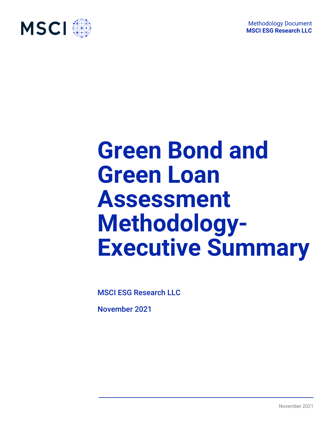

# **Green Bond and Green Loan Assessment Methodology-Executive Summary**

MSCI ESG Research LLC

November 2021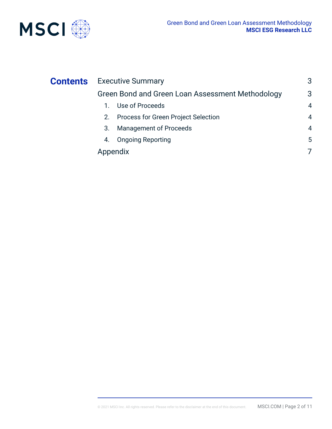

| Green Bond and Green Loan Assessment Methodology<br>1. Use of Proceeds<br>Process for Green Project Selection<br>2.<br><b>Management of Proceeds</b><br>3.<br><b>Ongoing Reporting</b><br>4. | <b>Contents</b> Executive Summary |                |
|----------------------------------------------------------------------------------------------------------------------------------------------------------------------------------------------|-----------------------------------|----------------|
|                                                                                                                                                                                              |                                   | 3              |
|                                                                                                                                                                                              |                                   | 4              |
|                                                                                                                                                                                              |                                   | 4              |
|                                                                                                                                                                                              |                                   | $\overline{4}$ |
|                                                                                                                                                                                              |                                   | 5              |
|                                                                                                                                                                                              | Appendix                          | 7              |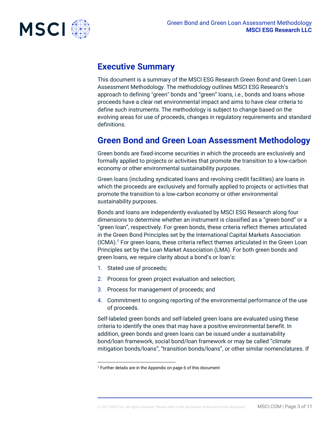

## **Executive Summary**

This document is a summary of the MSCI ESG Research Green Bond and Green Loan Assessment Methodology. The methodology outlines MSCI ESG Research's approach to defining "green" bonds and "green" loans, i.e., bonds and loans whose proceeds have a clear net environmental impact and aims to have clear criteria to define such instruments. The methodology is subject to change based on the evolving areas for use of proceeds, changes in regulatory requirements and standard definitions.

## **Green Bond and Green Loan Assessment Methodology**

Green bonds are fixed-income securities in which the proceeds are exclusively and formally applied to projects or activities that promote the transition to a low-carbon economy or other environmental sustainability purposes.

Green loans (including syndicated loans and revolving credit facilities) are loans in which the proceeds are exclusively and formally applied to projects or activities that promote the transition to a low-carbon economy or other environmental sustainability purposes.

Bonds and loans are independently evaluated by MSCI ESG Research along four dimensions to determine whether an instrument is classified as a "green bond" or a "green loan", respectively. For green bonds, these criteria reflect themes articulated in the Green Bond Principles set by the International Capital Markets Association (ICMA).<sup>1</sup> For green loans, these criteria reflect themes articulated in the Green Loan Principles set by the Loan Market Association (LMA). For both green bonds and green loans, we require clarity about a bond's or loan's:

- 1. Stated use of proceeds;
- 2. Process for green project evaluation and selection;
- 3. Process for management of proceeds; and
- 4. Commitment to ongoing reporting of the environmental performance of the use of proceeds.

Self-labeled green bonds and self-labeled green loans are evaluated using these criteria to identify the ones that may have a positive environmental benefit. In addition, green bonds and green loans can be issued under a sustainability bond/loan framework, social bond/loan framework or may be called "climate mitigation bonds/loans", "transition bonds/loans", or other similar nomenclatures. If

<sup>1</sup> Further details are in the Appendix on page 6 of this document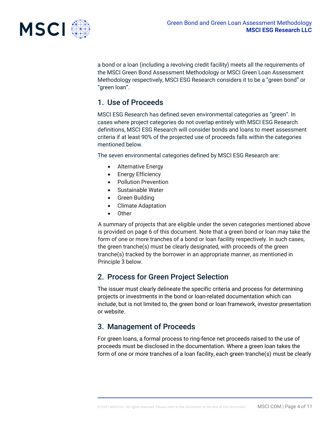

a bond or a loan (including a revolving credit facility) meets all the requirements of the MSCI Green Bond Assessment Methodology or MSCI Green Loan Assessment Methodology respectively, MSCI ESG Research considers it to be a "green bond" or "green loan".

## 1. Use of Proceeds

MSCI ESG Research has defined seven environmental categories as "green". In cases where project categories do not overlap entirely with MSCI ESG Research definitions, MSCI ESG Research will consider bonds and loans to meet assessment criteria if at least 90% of the projected use of proceeds falls within the categories mentioned below.

The seven environmental categories defined by MSCI ESG Research are:

- Alternative Energy
- Energy Efficiency
- Pollution Prevention
- Sustainable Water
- Green Building
- Climate Adaptation
- Other

A summary of projects that are eligible under the seven categories mentioned above is provided on page 6 of this document. Note that a green bond or loan may take the form of one or more tranches of a bond or loan facility respectively. In such cases, the green tranche(s) must be clearly designated, with proceeds of the green tranche(s) tracked by the borrower in an appropriate manner, as mentioned in Principle 3 below.

### 2. Process for Green Project Selection

The issuer must clearly delineate the specific criteria and process for determining projects or investments in the bond or loan-related documentation which can include, but is not limited to, the green bond or loan framework, investor presentation or website.

## 3. Management of Proceeds

For green loans, a formal process to ring-fence net proceeds raised to the use of proceeds must be disclosed in the documentation. Where a green loan takes the form of one or more tranches of a loan facility, each green tranche(s) must be clearly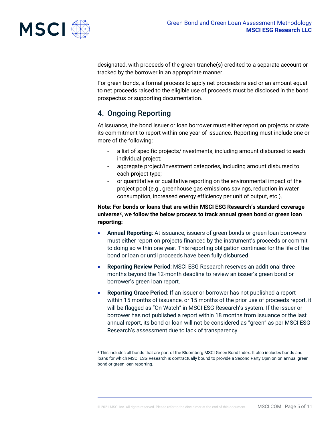

designated, with proceeds of the green tranche(s) credited to a separate account or tracked by the borrower in an appropriate manner.

For green bonds, a formal process to apply net proceeds raised or an amount equal to net proceeds raised to the eligible use of proceeds must be disclosed in the bond prospectus or supporting documentation.

## 4. Ongoing Reporting

At issuance, the bond issuer or loan borrower must either report on projects or state its commitment to report within one year of issuance. Reporting must include one or more of the following:

- a list of specific projects/investments, including amount disbursed to each individual project;
- aggregate project/investment categories, including amount disbursed to each project type;
- or quantitative or qualitative reporting on the environmental impact of the project pool (e.g., greenhouse gas emissions savings, reduction in water consumption, increased energy efficiency per unit of output, etc.).

**Note: For bonds or loans that are within MSCI ESG Research's standard coverage universe<sup>2</sup> , we follow the below process to track annual green bond or green loan reporting:** 

- **Annual Reporting**: At issuance, issuers of green bonds or green loan borrowers must either report on projects financed by the instrument's proceeds or commit to doing so within one year. This reporting obligation continues for the life of the bond or loan or until proceeds have been fully disbursed.
- **Reporting Review Period**: MSCI ESG Research reserves an additional three months beyond the 12-month deadline to review an issuer's green bond or borrower's green loan report.
- **Reporting Grace Period**: If an issuer or borrower has not published a report within 15 months of issuance, or 15 months of the prior use of proceeds report, it will be flagged as "On Watch" in MSCI ESG Research's system. If the issuer or borrower has not published a report within 18 months from issuance or the last annual report, its bond or loan will not be considered as "green" as per MSCI ESG Research's assessment due to lack of transparency.

<sup>&</sup>lt;sup>2</sup> This includes all bonds that are part of the Bloomberg MSCI Green Bond Index. It also includes bonds and loans for which MSCI ESG Research is contractually bound to provide a Second Party Opinion on annual green bond or green loan reporting.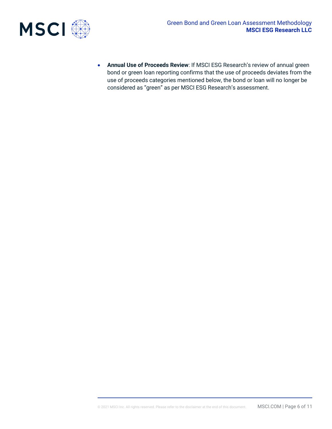

• **Annual Use of Proceeds Review**: If MSCI ESG Research's review of annual green bond or green loan reporting confirms that the use of proceeds deviates from the use of proceeds categories mentioned below, the bond or loan will no longer be considered as "green" as per MSCI ESG Research's assessment.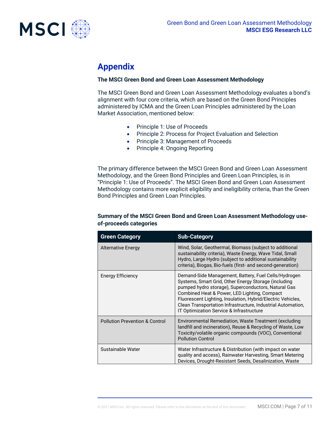

## **Appendix**

#### **The MSCI Green Bond and Green Loan Assessment Methodology**

The MSCI Green Bond and Green Loan Assessment Methodology evaluates a bond's alignment with four core criteria, which are based on the Green Bond Principles administered by ICMA and the Green Loan Principles administered by the Loan Market Association, mentioned below:

- Principle 1: Use of Proceeds
- Principle 2: Process for Project Evaluation and Selection
- Principle 3: Management of Proceeds
- Principle 4: Ongoing Reporting

The primary difference between the MSCI Green Bond and Green Loan Assessment Methodology, and the Green Bond Principles and Green Loan Principles, is in "Principle 1: Use of Proceeds". The MSCI Green Bond and Green Loan Assessment Methodology contains more explicit eligibility and ineligibility criteria, than the Green Bond Principles and Green Loan Principles.

#### **Summary of the MSCI Green Bond and Green Loan Assessment Methodology useof-proceeds categories**

| <b>Green Category</b>                     | <b>Sub-Category</b>                                                                                                                                                                                                                                                                                                                                                                           |
|-------------------------------------------|-----------------------------------------------------------------------------------------------------------------------------------------------------------------------------------------------------------------------------------------------------------------------------------------------------------------------------------------------------------------------------------------------|
| <b>Alternative Energy</b>                 | Wind, Solar, Geothermal, Biomass (subject to additional<br>sustainability criteria), Waste Energy, Wave Tidal, Small<br>Hydro, Large Hydro (subject to additional sustainability<br>criteria), Biogas, Bio-fuels (first- and second-generation)                                                                                                                                               |
| <b>Energy Efficiency</b>                  | Demand-Side Management, Battery, Fuel Cells/Hydrogen<br>Systems, Smart Grid, Other Energy Storage (including<br>pumped hydro storage), Superconductors, Natural Gas<br>Combined Heat & Power, LED Lighting, Compact<br>Fluorescent Lighting, Insulation, Hybrid/Electric Vehicles,<br>Clean Transportation Infrastructure, Industrial Automation,<br>IT Optimization Service & Infrastructure |
| <b>Pollution Prevention &amp; Control</b> | Environmental Remediation, Waste Treatment (excluding<br>landfill and incineration), Reuse & Recycling of Waste, Low<br>Toxicity/volatile organic compounds (VOC), Conventional<br><b>Pollution Control</b>                                                                                                                                                                                   |
| Sustainable Water                         | Water Infrastructure & Distribution (with impact on water<br>quality and access), Rainwater Harvesting, Smart Metering<br>Devices, Drought-Resistant Seeds, Desalinization, Waste                                                                                                                                                                                                             |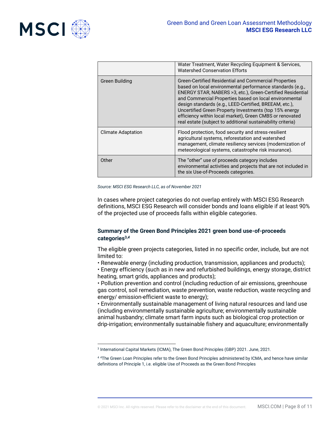

|                           | Water Treatment, Water Recycling Equipment & Services,<br><b>Watershed Conservation Efforts</b>                                                                                                                                                                                                                                                                                                                                                                                            |
|---------------------------|--------------------------------------------------------------------------------------------------------------------------------------------------------------------------------------------------------------------------------------------------------------------------------------------------------------------------------------------------------------------------------------------------------------------------------------------------------------------------------------------|
| Green Building            | Green-Certified Residential and Commercial Properties<br>based on local environmental performance standards (e.g.,<br>ENERGY STAR, NABERS > 3, etc.), Green-Certified Residential<br>and Commercial Properties based on local environmental<br>design standards (e.g., LEED-Certified, BREEAM, etc.),<br>Uncertified Green Property Investments (top 15% energy<br>efficiency within local market), Green CMBS or renovated<br>real estate (subject to additional sustainability criteria) |
| <b>Climate Adaptation</b> | Flood protection, food security and stress-resilient<br>agricultural systems, reforestation and watershed<br>management, climate resiliency services (modernization of<br>meteorological systems, catastrophe risk insurance).                                                                                                                                                                                                                                                             |
| Other                     | The "other" use of proceeds category includes<br>environmental activities and projects that are not included in<br>the six Use-of-Proceeds categories.                                                                                                                                                                                                                                                                                                                                     |

*Source: MSCI ESG Research LLC, as of November 2021*

In cases where project categories do not overlap entirely with MSCI ESG Research definitions, MSCI ESG Research will consider bonds and loans eligible if at least 90% of the projected use of proceeds falls within eligible categories.

#### **Summary of the Green Bond Principles 2021 green bond use-of-proceeds categories3,***<sup>4</sup>*

The eligible green projects categories, listed in no specific order, include, but are not limited to:

• Renewable energy (including production, transmission, appliances and products);

• Energy efficiency (such as in new and refurbished buildings, energy storage, district heating, smart grids, appliances and products);

• Pollution prevention and control (including reduction of air emissions, greenhouse gas control, soil remediation, waste prevention, waste reduction, waste recycling and energy/ emission-efficient waste to energy);

• Environmentally sustainable management of living natural resources and land use (including environmentally sustainable agriculture; environmentally sustainable animal husbandry; climate smart farm inputs such as biological crop protection or drip-irrigation; environmentally sustainable fishery and aquaculture; environmentally

<sup>3</sup> International Capital Markets (ICMA), The Green Bond Principles (GBP) 2021. June, 2021.

<sup>4</sup> <sup>4</sup>The Green Loan Principles refer to the Green Bond Principles administered by ICMA, and hence have similar definitions of Principle 1, i.e. eligible Use of Proceeds as the Green Bond Principles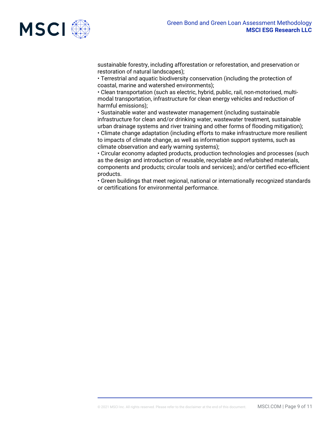sustainable forestry, including afforestation or reforestation, and preservation or restoration of natural landscapes);

• Terrestrial and aquatic biodiversity conservation (including the protection of coastal, marine and watershed environments);

• Clean transportation (such as electric, hybrid, public, rail, non-motorised, multimodal transportation, infrastructure for clean energy vehicles and reduction of harmful emissions);

• Sustainable water and wastewater management (including sustainable infrastructure for clean and/or drinking water, wastewater treatment, sustainable urban drainage systems and river training and other forms of flooding mitigation); • Climate change adaptation (including efforts to make infrastructure more resilient to impacts of climate change, as well as information support systems, such as climate observation and early warning systems);

• Circular economy adapted products, production technologies and processes (such as the design and introduction of reusable, recyclable and refurbished materials, components and products; circular tools and services); and/or certified eco-efficient products.

• Green buildings that meet regional, national or internationally recognized standards or certifications for environmental performance.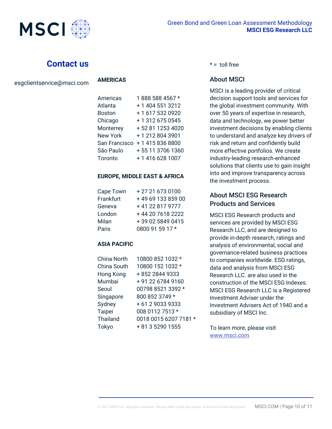

## **Contact us**

#### **AMERICAS**

| Americas        | 1888 588 4567 *  |
|-----------------|------------------|
| Atlanta         | + 1 404 551 3212 |
| <b>Boston</b>   | +1 617 532 0920  |
| Chicago         | +13126750545     |
| Monterrey       | +52 81 1253 4020 |
| <b>New York</b> | +12128043901     |
| San Francisco   | +14158368800     |
| São Paulo       | +55 11 3706 1360 |
| Toronto         | +1 416 628 1007  |

#### **EUROPE, MIDDLE EAST & AFRICA**

| Cape Town | +27 21 673 0100   |
|-----------|-------------------|
| Frankfurt | +49 69 133 859 00 |
| Geneva    | +41 22 817 9777   |
| London    | +44 20 7618 2222  |
| Milan     | +39 02 5849 0415  |
| Paris     | 0800 91 59 17 *   |

#### **ASIA PACIFIC**

| China North     | 10800 852 1032 *      |
|-----------------|-----------------------|
| China South     | 10800 152 1032 *      |
| Hong Kong       | +852 2844 9333        |
| Mumbai          | +91 22 6784 9160      |
| Seoul           | 00798 8521 3392 *     |
| Singapore       | 800 852 3749 *        |
| Sydney          | +61290339333          |
| Taipei          | 008 0112 7513 *       |
| <b>Thailand</b> | 0018 0015 6207 7181 * |
| Tokyo           | + 81 3 5290 1555      |
|                 |                       |

#### $* =$  toll free

#### About MSCI

MSCI is a leading provider of critical decision support tools and services for the global investment community. With over 50 years of expertise in research, data and technology, we power better investment decisions by enabling clients to understand and analyze key drivers of risk and return and confidently build more effective portfolios. We create industry-leading research-enhanced solutions that clients use to gain insight into and improve transparency across the investment process.

#### About MSCI ESG Research Products and Services

MSCI ESG Research products and services are provided by MSCI ESG Research LLC, and are designed to provide in-depth research, ratings and analysis of environmental, social and governance-related business practices to companies worldwide. ESG ratings, data and analysis from MSCI ESG Research LLC. are also used in the construction of the MSCI ESG Indexes. MSCI ESG Research LLC is a Registered Investment Adviser under the Investment Advisers Act of 1940 and a subsidiary of MSCI Inc.

To learn more, please visit [www.msci.com](http://www.msci.com/)